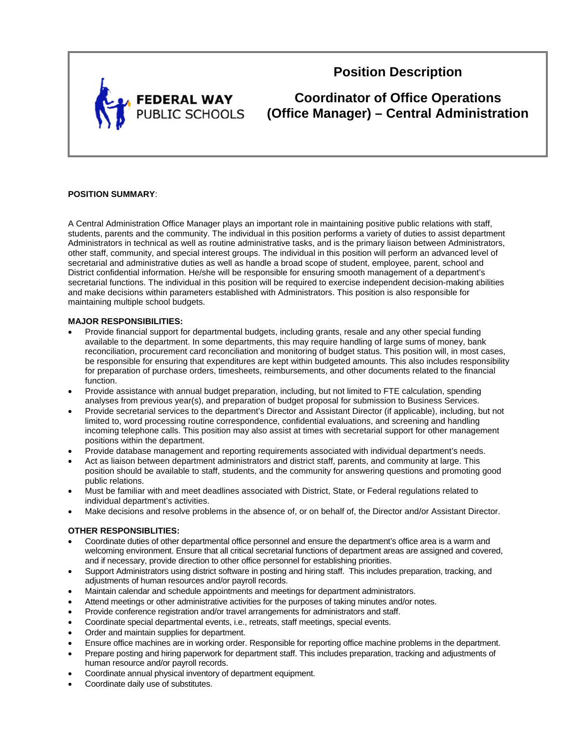

**Position Description** 

**Coordinator of Office Operations (Office Manager) – Central Administration** 

# **POSITION SUMMARY**:

A Central Administration Office Manager plays an important role in maintaining positive public relations with staff, students, parents and the community. The individual in this position performs a variety of duties to assist department Administrators in technical as well as routine administrative tasks, and is the primary liaison between Administrators, other staff, community, and special interest groups. The individual in this position will perform an advanced level of secretarial and administrative duties as well as handle a broad scope of student, employee, parent, school and District confidential information. He/she will be responsible for ensuring smooth management of a department's secretarial functions. The individual in this position will be required to exercise independent decision-making abilities and make decisions within parameters established with Administrators. This position is also responsible for maintaining multiple school budgets.

#### **MAJOR RESPONSIBILITIES:**

- Provide financial support for departmental budgets, including grants, resale and any other special funding available to the department. In some departments, this may require handling of large sums of money, bank reconciliation, procurement card reconciliation and monitoring of budget status. This position will, in most cases, be responsible for ensuring that expenditures are kept within budgeted amounts. This also includes responsibility for preparation of purchase orders, timesheets, reimbursements, and other documents related to the financial function.
- Provide assistance with annual budget preparation, including, but not limited to FTE calculation, spending analyses from previous year(s), and preparation of budget proposal for submission to Business Services.
- Provide secretarial services to the department's Director and Assistant Director (if applicable), including, but not limited to, word processing routine correspondence, confidential evaluations, and screening and handling incoming telephone calls. This position may also assist at times with secretarial support for other management positions within the department.
- Provide database management and reporting requirements associated with individual department's needs.
- Act as liaison between department administrators and district staff, parents, and community at large. This position should be available to staff, students, and the community for answering questions and promoting good public relations.
- Must be familiar with and meet deadlines associated with District, State, or Federal regulations related to individual department's activities.
- Make decisions and resolve problems in the absence of, or on behalf of, the Director and/or Assistant Director.

## **OTHER RESPONSIBLITIES:**

- Coordinate duties of other departmental office personnel and ensure the department's office area is a warm and welcoming environment. Ensure that all critical secretarial functions of department areas are assigned and covered, and if necessary, provide direction to other office personnel for establishing priorities.
- Support Administrators using district software in posting and hiring staff. This includes preparation, tracking, and adjustments of human resources and/or payroll records.
- Maintain calendar and schedule appointments and meetings for department administrators.
- Attend meetings or other administrative activities for the purposes of taking minutes and/or notes.
- Provide conference registration and/or travel arrangements for administrators and staff.
- Coordinate special departmental events, i.e., retreats, staff meetings, special events.
- Order and maintain supplies for department.
- Ensure office machines are in working order. Responsible for reporting office machine problems in the department.
- Prepare posting and hiring paperwork for department staff. This includes preparation, tracking and adjustments of human resource and/or payroll records.
- Coordinate annual physical inventory of department equipment.
- Coordinate daily use of substitutes.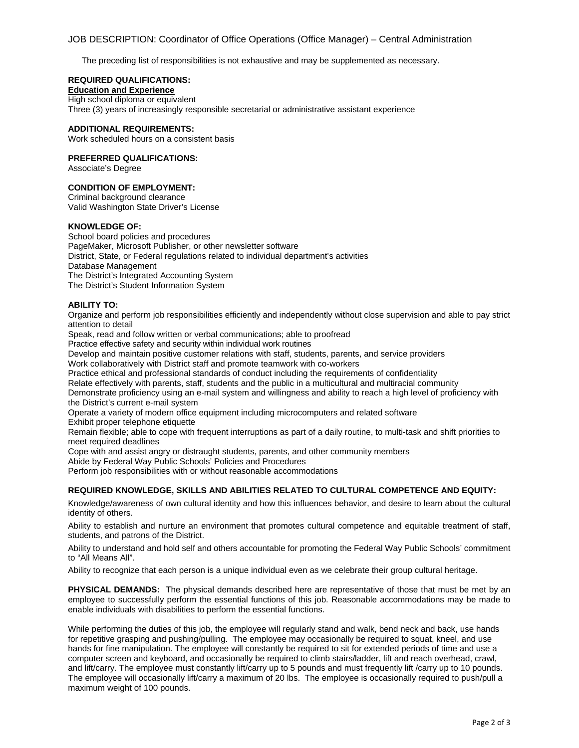# JOB DESCRIPTION: Coordinator of Office Operations (Office Manager) – Central Administration

The preceding list of responsibilities is not exhaustive and may be supplemented as necessary.

## **REQUIRED QUALIFICATIONS:**

## **Education and Experience**

High school diploma or equivalent

Three (3) years of increasingly responsible secretarial or administrative assistant experience

#### **ADDITIONAL REQUIREMENTS:**

Work scheduled hours on a consistent basis

#### **PREFERRED QUALIFICATIONS:**

Associate's Degree

# **CONDITION OF EMPLOYMENT:**

Criminal background clearance Valid Washington State Driver's License

#### **KNOWLEDGE OF:**

School board policies and procedures PageMaker, Microsoft Publisher, or other newsletter software District, State, or Federal regulations related to individual department's activities Database Management The District's Integrated Accounting System The District's Student Information System

#### **ABILITY TO:**

Organize and perform job responsibilities efficiently and independently without close supervision and able to pay strict attention to detail

Speak, read and follow written or verbal communications; able to proofread

Practice effective safety and security within individual work routines

Develop and maintain positive customer relations with staff, students, parents, and service providers

Work collaboratively with District staff and promote teamwork with co-workers

Practice ethical and professional standards of conduct including the requirements of confidentiality

Relate effectively with parents, staff, students and the public in a multicultural and multiracial community

Demonstrate proficiency using an e-mail system and willingness and ability to reach a high level of proficiency with the District's current e-mail system

Operate a variety of modern office equipment including microcomputers and related software Exhibit proper telephone etiquette

Remain flexible; able to cope with frequent interruptions as part of a daily routine, to multi-task and shift priorities to meet required deadlines

Cope with and assist angry or distraught students, parents, and other community members

Abide by Federal Way Public Schools' Policies and Procedures

Perform job responsibilities with or without reasonable accommodations

## **REQUIRED KNOWLEDGE, SKILLS AND ABILITIES RELATED TO CULTURAL COMPETENCE AND EQUITY:**

Knowledge/awareness of own cultural identity and how this influences behavior, and desire to learn about the cultural identity of others.

Ability to establish and nurture an environment that promotes cultural competence and equitable treatment of staff, students, and patrons of the District.

Ability to understand and hold self and others accountable for promoting the Federal Way Public Schools' commitment to "All Means All".

Ability to recognize that each person is a unique individual even as we celebrate their group cultural heritage.

**PHYSICAL DEMANDS:** The physical demands described here are representative of those that must be met by an employee to successfully perform the essential functions of this job. Reasonable accommodations may be made to enable individuals with disabilities to perform the essential functions.

While performing the duties of this job, the employee will regularly stand and walk, bend neck and back, use hands for repetitive grasping and pushing/pulling. The employee may occasionally be required to squat, kneel, and use hands for fine manipulation. The employee will constantly be required to sit for extended periods of time and use a computer screen and keyboard, and occasionally be required to climb stairs/ladder, lift and reach overhead, crawl, and lift/carry. The employee must constantly lift/carry up to 5 pounds and must frequently lift /carry up to 10 pounds. The employee will occasionally lift/carry a maximum of 20 lbs. The employee is occasionally required to push/pull a maximum weight of 100 pounds.